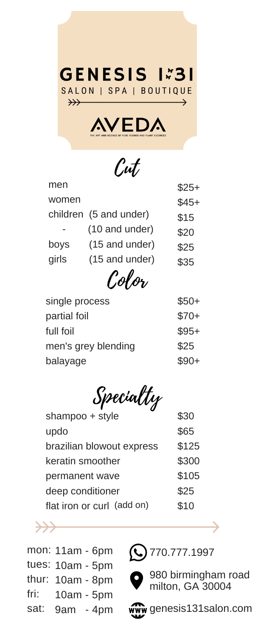

Cut

Specialty

| men            |                        | $$25+$ |
|----------------|------------------------|--------|
| women          |                        | $$45+$ |
|                | children (5 and under) | \$15   |
|                | (10 and under)         | \$20   |
| boys           | (15 and under)         | \$25   |
| girls          | (15 and under)         | \$35   |
|                | Color                  |        |
| single process | ዌ50-                   |        |

| single process      | $$50+$ |
|---------------------|--------|
| partial foil        | $$70+$ |
| full foil           | $$95+$ |
| men's grey blending | \$25   |
| balayage            | $$90+$ |
|                     |        |





980 birmingham road milton, GA 30004



ww genesis131salon.com

| shampoo + style            | \$30  |
|----------------------------|-------|
| updo                       | \$65  |
| brazilian blowout express  | \$125 |
| keratin smoother           | \$300 |
| permanent wave             | \$105 |
| deep conditioner           | \$25  |
| flat iron or curl (add on) | \$10  |

mon: 11am - 6pm

- tues: 10am 5pm
- thur: 10am 8pm
- fri: 10am - 5pm
- sat: 9am - 4pm